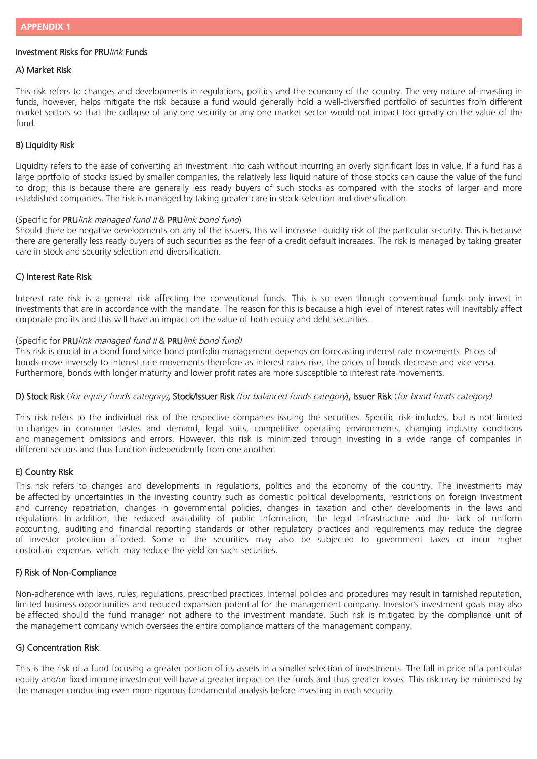# Investment Risks for PRUlink Funds

### A) Market Risk

This risk refers to changes and developments in regulations, politics and the economy of the country. The very nature of investing in funds, however, helps mitigate the risk because a fund would generally hold a well-diversified portfolio of securities from different market sectors so that the collapse of any one security or any one market sector would not impact too greatly on the value of the fund.

### B) Liquidity Risk

Liquidity refers to the ease of converting an investment into cash without incurring an overly significant loss in value. If a fund has a large portfolio of stocks issued by smaller companies, the relatively less liquid nature of those stocks can cause the value of the fund to drop; this is because there are generally less ready buyers of such stocks as compared with the stocks of larger and more established companies. The risk is managed by taking greater care in stock selection and diversification.

#### (Specific for PRU link managed fund II & PRU link bond fund)

Should there be negative developments on any of the issuers, this will increase liquidity risk of the particular security. This is because there are generally less ready buyers of such securities as the fear of a credit default increases. The risk is managed by taking greater care in stock and security selection and diversification.

## C) Interest Rate Risk

Interest rate risk is a general risk affecting the conventional funds. This is so even though conventional funds only invest in investments that are in accordance with the mandate. The reason for this is because a high level of interest rates will inevitably affect corporate profits and this will have an impact on the value of both equity and debt securities.

#### (Specific for PRUlink managed fund II & PRUlink bond fund)

This risk is crucial in a bond fund since bond portfolio management depends on forecasting interest rate movements. Prices of bonds move inversely to interest rate movements therefore as interest rates rise, the prices of bonds decrease and vice versa. Furthermore, bonds with longer maturity and lower profit rates are more susceptible to interest rate movements.

#### D) Stock Risk (for equity funds category), Stock/Issuer Risk (for balanced funds category), Issuer Risk (for bond funds category)

This risk refers to the individual risk of the respective companies issuing the securities. Specific risk includes, but is not limited to changes in consumer tastes and demand, legal suits, competitive operating environments, changing industry conditions and management omissions and errors. However, this risk is minimized through investing in a wide range of companies in different sectors and thus function independently from one another.

## E) Country Risk

This risk refers to changes and developments in regulations, politics and the economy of the country. The investments may be affected by uncertainties in the investing country such as domestic political developments, restrictions on foreign investment and currency repatriation, changes in governmental policies, changes in taxation and other developments in the laws and regulations. In addition, the reduced availability of public information, the legal infrastructure and the lack of uniform accounting, auditing and financial reporting standards or other regulatory practices and requirements may reduce the degree of investor protection afforded. Some of the securities may also be subjected to government taxes or incur higher custodian expenses which may reduce the yield on such securities.

#### F) Risk of Non-Compliance

Non-adherence with laws, rules, regulations, prescribed practices, internal policies and procedures may result in tarnished reputation, limited business opportunities and reduced expansion potential for the management company. Investor's investment goals may also be affected should the fund manager not adhere to the investment mandate. Such risk is mitigated by the compliance unit of the management company which oversees the entire compliance matters of the management company.

## G) Concentration Risk

This is the risk of a fund focusing a greater portion of its assets in a smaller selection of investments. The fall in price of a particular equity and/or fixed income investment will have a greater impact on the funds and thus greater losses. This risk may be minimised by the manager conducting even more rigorous fundamental analysis before investing in each security.